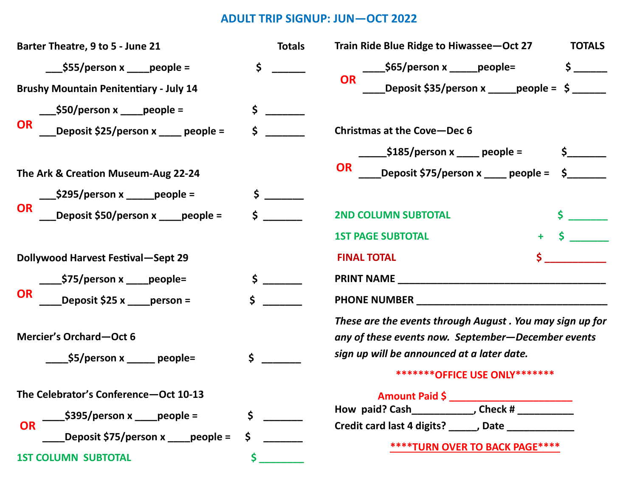## **ADULT TRIP SIGNUP: JUN—OCT 2022**

| Barter Theatre, 9 to 5 - June 21                                                                                                       | <b>Totals</b> | Train Ride Blue Ridge to Hiwassee-Oct 27<br><b>TOTALS</b>                                                                                                                                       |
|----------------------------------------------------------------------------------------------------------------------------------------|---------------|-------------------------------------------------------------------------------------------------------------------------------------------------------------------------------------------------|
| $\angle$ \$55/person x $\angle$ people =<br><b>Brushy Mountain Penitentiary - July 14</b>                                              | \$            | <b>OR</b>                                                                                                                                                                                       |
| <b>OR</b><br>Deposit \$25/person x ____ people =                                                                                       | \$<br>Ś.      | <b>Christmas at the Cove-Dec 6</b>                                                                                                                                                              |
| The Ark & Creation Museum-Aug 22-24                                                                                                    |               | <b>OR</b><br>_Deposit \$75/person x _____ people = $\zeta$ ________                                                                                                                             |
| <b>OR</b><br>Deposit \$50/person x ____people =                                                                                        |               | <b>2ND COLUMN SUBTOTAL</b><br><b>1ST PAGE SUBTOTAL</b>                                                                                                                                          |
| <b>Dollywood Harvest Festival-Sept 29</b>                                                                                              |               | <b>FINAL TOTAL</b>                                                                                                                                                                              |
| Deposit \$25 x _____person =<br><b>OR</b>                                                                                              | $\mathsf{\$}$ |                                                                                                                                                                                                 |
| Mercier's Orchard-Oct 6<br>$\frac{\text{S5/person x}}{\text{P6}}$ people=                                                              | \$            | These are the events through August . You may sign up for<br>any of these events now. September-December events<br>sign up will be announced at a later date.<br>********OFFICE USE ONLY******* |
| The Celebrator's Conference-Oct 10-13<br>$\frac{1}{2}$ \$395/person x _____people =<br><b>OR</b><br>Deposit \$75/person x ____people = | \$<br>\$      | Amount Paid \$<br>How paid? Cash__________________, Check # ____________<br>Credit card last 4 digits? ______, Date ______________<br><b>****TURN OVER TO BACK PAGE****</b>                     |
| <b>1ST COLUMN SUBTOTAL</b>                                                                                                             | $\mathsf{S}$  |                                                                                                                                                                                                 |